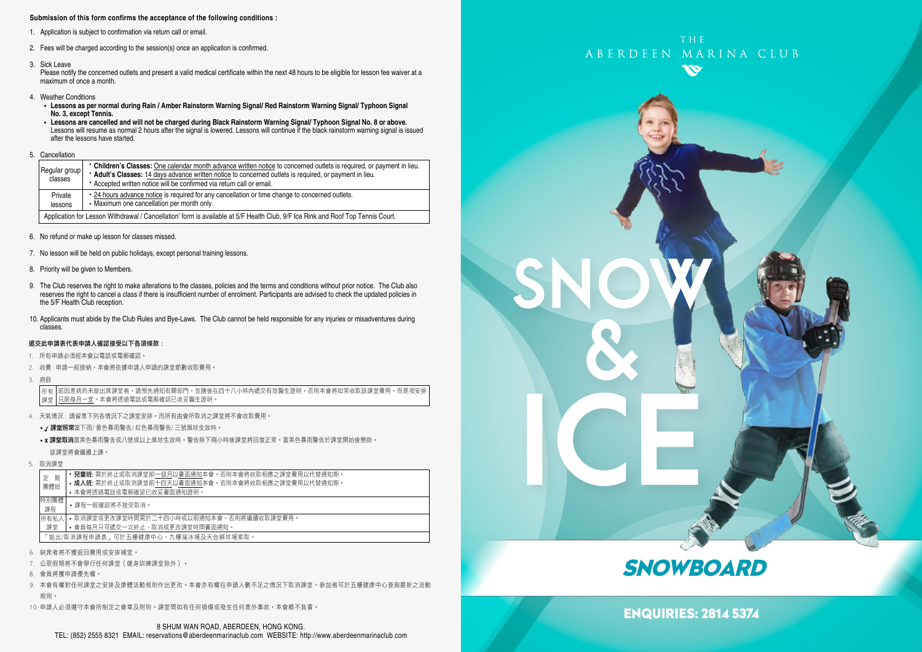### **Submission of this form confirms the acceptance of the following conditions :**

- 1. Application is subject to confirmation via return call or email.
- 2. Fees will be charged according to the session(s) once an application is confirmed.
- 3. Sick Leave

Please notify the concerned outlets and present a valid medical certificate within the next 48 hours to be eligible for lesson fee waiver at a maximum of once a month.

- 4. Weather Conditions
	- **Lessons as per normal during Rain / Amber Rainstorm Warning Signal/ Red Rainstorm Warning Signal/ Typhoon Signal No. 3, except Tennis.**
	- **Lessons are cancelled and will not be charged during Black Rainstorm Warning Signal/ Typhoon Signal No. 8 or above.** Lessons will resume as normal 2 hours after the signal is lowered. Lessons will continue if the black rainstorm warning signal is issued after the lessons have started.
- 5. Cancellation

|  | Regular group<br>classes                                                                                                        | • Children's Classes: One calendar month advance written notice to concerned outlets is required, or payment in lieu.<br>* Adult's Classes: 14 days advance written notice to concerned outlets is required, or payment in lieu.<br>• Accepted written notice will be confirmed via return call or email. |  |  |  |
|--|---------------------------------------------------------------------------------------------------------------------------------|-----------------------------------------------------------------------------------------------------------------------------------------------------------------------------------------------------------------------------------------------------------------------------------------------------------|--|--|--|
|  | Private<br>lessons                                                                                                              | • 24 hours advance notice is required for any cancellation or time change to concerned outlets.<br>• Maximum one cancellation per month only.                                                                                                                                                             |  |  |  |
|  | Application for Lesson Withdrawal / Cancellation' form is available at 5/F Health Club, 9/F Ice Rink and Roof Top Tennis Court. |                                                                                                                                                                                                                                                                                                           |  |  |  |

- 6. No refund or make up lesson for classes missed.
- 7. No lesson will be held on public holidays, except personal training lessons.
- 8. Priority will be given to Members.
- 9. The Club reserves the right to make alterations to the classes, policies and the terms and conditions without prior notice. The Club also reserves the right to cancel a class if there is insufficient number of enrolment. Participants are advised to check the updated policies in the 5/F Health Club reception.
- 10. Applicants must abide by the Club Rules and Bye-Laws. The Club cannot be held responsible for any injuries or misadventures during classes.

### 遞交此申請表代表申請人確認接受以下各項條款 :

- 1. 所有申請必須經本會以電話或電郵確認。
- 2. 收費 : 申請一經接納,本會將依據申請人申請的課堂節數收取費用。
- 3. 病假

若因患病而未能出席課堂者,請預先通知有關部門,並隨後在四十八小時內遞交有效醫生證明,否則本會將如常收取該課堂費用,而是項安排 只限每月一堂。本會將透過電話或電郵確認已收妥醫生證明。 所有 課堂

- 4. 天氣情況 : 請留意下列各情況下之課堂安排,而所有由會所取消之課堂將不會收取費用。
	- / 課堂照常當下雨/ 黃色暴雨警告/ 紅色暴雨警告/ 三號風球生效時。
	- x 課堂取消當黑色暴雨警告或八號或以上風球生效時。警告除下兩小時後課堂將回復正常。當黑色暴雨警告於課堂開始後懸掛, 該課堂將會繼續上課。
- 5. 取消課堂

| 期                                   | <b>兒童班:</b> 需於終止或取消課堂前一個月以書面通知本會。否則本會將收取相應之課堂費用以代替通知期。 |  |  |  |  |
|-------------------------------------|--------------------------------------------------------|--|--|--|--|
| 定                                   | • 成人班: 需於終止或取消課堂前十四天以書面通知本會。否則本會將收取相應之課堂費用以代替通知期。      |  |  |  |  |
| 團體班                                 | • 本會將透過電話或電郵確認已收妥書面通知證明。                               |  |  |  |  |
| 特別團體<br>課程                          | •課程一經確認將不接受取消。                                         |  |  |  |  |
| 所有私人                                | • 取消課堂或更改課堂時間需於二十四小時或以前捅知本會,否則將繼續收取課堂費用。               |  |  |  |  |
| 課堂                                  | • 會員每月只可遞交一次終止、取消或更改課堂時間書面通知。                          |  |  |  |  |
| 「狠出/取消課程申請表,可於五樓健康中心、九樓溜冰場及天台網球場索取。 |                                                        |  |  |  |  |

- 6. 缺席者將不獲退回費用或安排補堂。
- 7. 公眾假期將不會舉行任何課堂﹝健身訓練課堂除外﹞。
- 8. 會員將獲申請優先權。
- 9. 本會有權對任何課堂之安排及康體活動規則作出更改。本會亦有權在申請人數不足之情況下取消課堂。參加者可於五樓健康中心查詢最新之活動 規則。
- 10. 申請人必須遵守本會所制定之會章及附則。課堂間如有任何損傷或發生任何意外事故,本會概不負責。





## **SNOWBOARD**

ENQUIRIES: 2814 5374